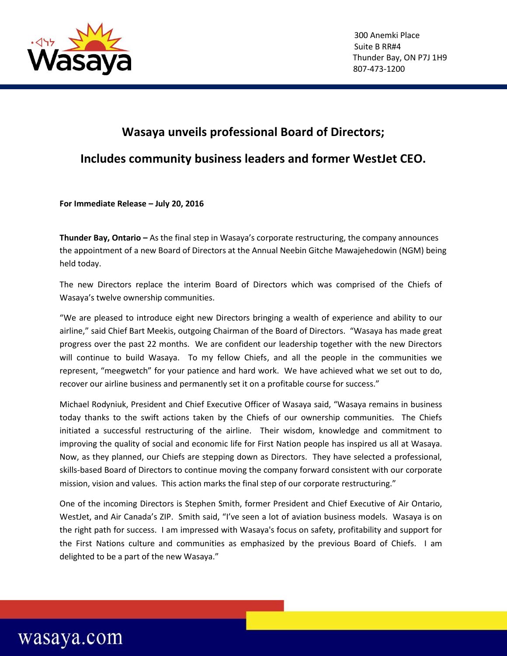

## **Wasaya unveils professional Board of Directors;**

## **Includes community business leaders and former WestJet CEO.**

**For Immediate Release – July 20, 2016**

**Thunder Bay, Ontario –** As the final step in Wasaya's corporate restructuring, the company announces the appointment of a new Board of Directors at the Annual Neebin Gitche Mawajehedowin (NGM) being held today.

 The new Directors replace the interim Board of Directors which was comprised of the Chiefs of Wasaya's twelve ownership communities.

"We are pleased to introduce eight new Directors bringing a wealth of experience and ability to our airline," said Chief Bart Meekis, outgoing Chairman of the Board of Directors. "Wasaya has made great progress over the past 22 months. We are confident our leadership together with the new Directors will continue to build Wasaya. To my fellow Chiefs, and all the people in the communities we represent, "meegwetch" for your patience and hard work. We have achieved what we set out to do, recover our airline business and permanently set it on a profitable course for success."

Michael Rodyniuk, President and Chief Executive Officer of Wasaya said, "Wasaya remains in business today thanks to the swift actions taken by the Chiefs of our ownership communities. The Chiefs initiated a successful restructuring of the airline. Their wisdom, knowledge and commitment to improving the quality of social and economic life for First Nation people has inspired us all at Wasaya. Now, as they planned, our Chiefs are stepping down as Directors. They have selected a professional, skills-based Board of Directors to continue moving the company forward consistent with our corporate mission, vision and values. This action marks the final step of our corporate restructuring."

One of the incoming Directors is Stephen Smith, former President and Chief Executive of Air Ontario, WestJet, and Air Canada's ZIP. Smith said, "I've seen a lot of aviation business models. Wasaya is on the right path for success. I am impressed with Wasaya's focus on safety, profitability and support for the First Nations culture and communities as emphasized by the previous Board of Chiefs. I am delighted to be a part of the new Wasaya."

## wasaya.com